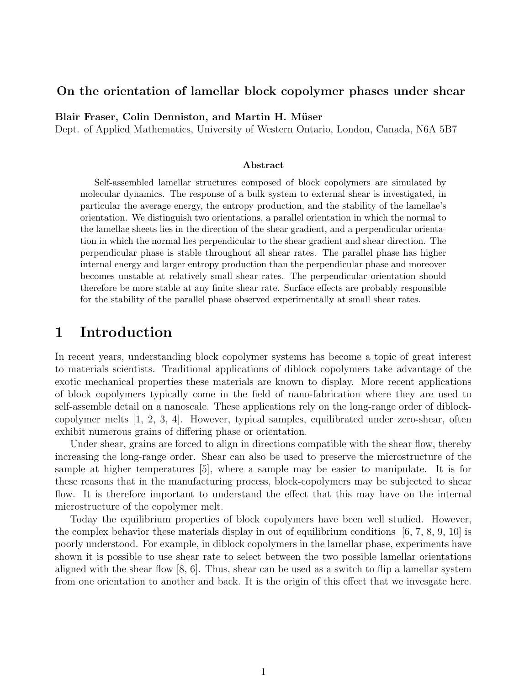#### On the orientation of lamellar block copolymer phases under shear

Blair Fraser, Colin Denniston, and Martin H. Müser

Dept. of Applied Mathematics, University of Western Ontario, London, Canada, N6A 5B7

#### Abstract

Self-assembled lamellar structures composed of block copolymers are simulated by molecular dynamics. The response of a bulk system to external shear is investigated, in particular the average energy, the entropy production, and the stability of the lamellae's orientation. We distinguish two orientations, a parallel orientation in which the normal to the lamellae sheets lies in the direction of the shear gradient, and a perpendicular orientation in which the normal lies perpendicular to the shear gradient and shear direction. The perpendicular phase is stable throughout all shear rates. The parallel phase has higher internal energy and larger entropy production than the perpendicular phase and moreover becomes unstable at relatively small shear rates. The perpendicular orientation should therefore be more stable at any finite shear rate. Surface effects are probably responsible for the stability of the parallel phase observed experimentally at small shear rates.

### 1 Introduction

In recent years, understanding block copolymer systems has become a topic of great interest to materials scientists. Traditional applications of diblock copolymers take advantage of the exotic mechanical properties these materials are known to display. More recent applications of block copolymers typically come in the field of nano-fabrication where they are used to self-assemble detail on a nanoscale. These applications rely on the long-range order of diblockcopolymer melts [1, 2, 3, 4]. However, typical samples, equilibrated under zero-shear, often exhibit numerous grains of differing phase or orientation.

Under shear, grains are forced to align in directions compatible with the shear flow, thereby increasing the long-range order. Shear can also be used to preserve the microstructure of the sample at higher temperatures [5], where a sample may be easier to manipulate. It is for these reasons that in the manufacturing process, block-copolymers may be subjected to shear flow. It is therefore important to understand the effect that this may have on the internal microstructure of the copolymer melt.

Today the equilibrium properties of block copolymers have been well studied. However, the complex behavior these materials display in out of equilibrium conditions  $[6, 7, 8, 9, 10]$  is poorly understood. For example, in diblock copolymers in the lamellar phase, experiments have shown it is possible to use shear rate to select between the two possible lamellar orientations aligned with the shear flow  $[8, 6]$ . Thus, shear can be used as a switch to flip a lamellar system from one orientation to another and back. It is the origin of this effect that we invesgate here.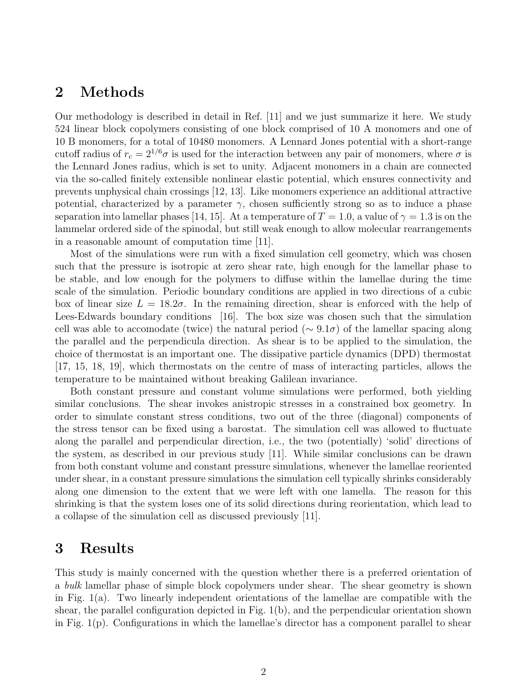## 2 Methods

Our methodology is described in detail in Ref. [11] and we just summarize it here. We study 524 linear block copolymers consisting of one block comprised of 10 A monomers and one of 10 B monomers, for a total of 10480 monomers. A Lennard Jones potential with a short-range cutoff radius of  $r_c = 2^{1/6}\sigma$  is used for the interaction between any pair of monomers, where  $\sigma$  is the Lennard Jones radius, which is set to unity. Adjacent monomers in a chain are connected via the so-called finitely extensible nonlinear elastic potential, which ensures connectivity and prevents unphysical chain crossings [12, 13]. Like monomers experience an additional attractive potential, characterized by a parameter  $\gamma$ , chosen sufficiently strong so as to induce a phase separation into lamellar phases [14, 15]. At a temperature of  $T = 1.0$ , a value of  $\gamma = 1.3$  is on the lammelar ordered side of the spinodal, but still weak enough to allow molecular rearrangements in a reasonable amount of computation time [11].

Most of the simulations were run with a fixed simulation cell geometry, which was chosen such that the pressure is isotropic at zero shear rate, high enough for the lamellar phase to be stable, and low enough for the polymers to diffuse within the lamellae during the time scale of the simulation. Periodic boundary conditions are applied in two directions of a cubic box of linear size  $L = 18.2\sigma$ . In the remaining direction, shear is enforced with the help of Lees-Edwards boundary conditions [16]. The box size was chosen such that the simulation cell was able to accomodate (twice) the natural period ( $\sim 9.1\sigma$ ) of the lamellar spacing along the parallel and the perpendicula direction. As shear is to be applied to the simulation, the choice of thermostat is an important one. The dissipative particle dynamics (DPD) thermostat [17, 15, 18, 19], which thermostats on the centre of mass of interacting particles, allows the temperature to be maintained without breaking Galilean invariance.

Both constant pressure and constant volume simulations were performed, both yielding similar conclusions. The shear invokes anistropic stresses in a constrained box geometry. In order to simulate constant stress conditions, two out of the three (diagonal) components of the stress tensor can be fixed using a barostat. The simulation cell was allowed to fluctuate along the parallel and perpendicular direction, i.e., the two (potentially) 'solid' directions of the system, as described in our previous study [11]. While similar conclusions can be drawn from both constant volume and constant pressure simulations, whenever the lamellae reoriented under shear, in a constant pressure simulations the simulation cell typically shrinks considerably along one dimension to the extent that we were left with one lamella. The reason for this shrinking is that the system loses one of its solid directions during reorientation, which lead to a collapse of the simulation cell as discussed previously [11].

# 3 Results

This study is mainly concerned with the question whether there is a preferred orientation of a bulk lamellar phase of simple block copolymers under shear. The shear geometry is shown in Fig. 1(a). Two linearly independent orientations of the lamellae are compatible with the shear, the parallel configuration depicted in Fig.  $1(b)$ , and the perpendicular orientation shown in Fig. 1(p). Configurations in which the lamellae's director has a component parallel to shear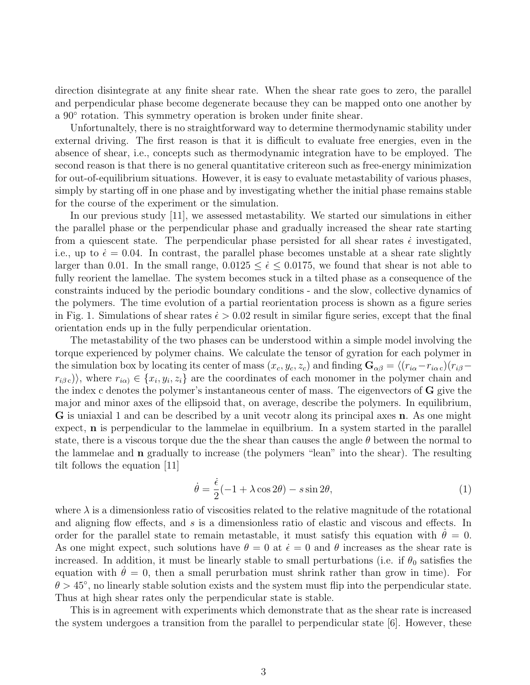direction disintegrate at any finite shear rate. When the shear rate goes to zero, the parallel and perpendicular phase become degenerate because they can be mapped onto one another by a 90◦ rotation. This symmetry operation is broken under finite shear.

Unfortunaltely, there is no straightforward way to determine thermodynamic stability under external driving. The first reason is that it is difficult to evaluate free energies, even in the absence of shear, i.e., concepts such as thermodynamic integration have to be employed. The second reason is that there is no general quantitative critereon such as free-energy minimization for out-of-equilibrium situations. However, it is easy to evaluate metastability of various phases, simply by starting off in one phase and by investigating whether the initial phase remains stable for the course of the experiment or the simulation.

In our previous study [11], we assessed metastability. We started our simulations in either the parallel phase or the perpendicular phase and gradually increased the shear rate starting from a quiescent state. The perpendicular phase persisted for all shear rates  $\epsilon$  investigated, i.e., up to  $\dot{\epsilon} = 0.04$ . In contrast, the parallel phase becomes unstable at a shear rate slightly larger than 0.01. In the small range,  $0.0125 \le \dot{\epsilon} \le 0.0175$ , we found that shear is not able to fully reorient the lamellae. The system becomes stuck in a tilted phase as a consequence of the constraints induced by the periodic boundary conditions - and the slow, collective dynamics of the polymers. The time evolution of a partial reorientation process is shown as a figure series in Fig. 1. Simulations of shear rates  $\dot{\epsilon} > 0.02$  result in similar figure series, except that the final orientation ends up in the fully perpendicular orientation.

The metastability of the two phases can be understood within a simple model involving the torque experienced by polymer chains. We calculate the tensor of gyration for each polymer in the simulation box by locating its center of mass  $(x_c, y_c, z_c)$  and finding  $\mathbf{G}_{\alpha\beta} = \langle (r_{i\alpha} - r_{i\alpha c})(r_{i\beta} (r_{i\beta c})\rangle$ , where  $r_{i\alpha j} \in \{x_i, y_i, z_i\}$  are the coordinates of each monomer in the polymer chain and the index c denotes the polymer's instantaneous center of mass. The eigenvectors of G give the major and minor axes of the ellipsoid that, on average, describe the polymers. In equilibrium, G is uniaxial 1 and can be described by a unit vecotr along its principal axes n. As one might expect, **n** is perpendicular to the lammelae in equilitium. In a system started in the parallel state, there is a viscous torque due the the shear than causes the angle  $\theta$  between the normal to the lammelae and n gradually to increase (the polymers "lean" into the shear). The resulting tilt follows the equation [11]

$$
\dot{\theta} = \frac{\dot{\epsilon}}{2}(-1 + \lambda \cos 2\theta) - s \sin 2\theta,\tag{1}
$$

where  $\lambda$  is a dimensionless ratio of viscosities related to the relative magnitude of the rotational and aligning flow effects, and s is a dimensionless ratio of elastic and viscous and effects. In order for the parallel state to remain metastable, it must satisfy this equation with  $\dot{\theta} = 0$ . As one might expect, such solutions have  $\theta = 0$  at  $\dot{\epsilon} = 0$  and  $\theta$  increases as the shear rate is increased. In addition, it must be linearly stable to small perturbations (i.e. if  $\theta_0$  satisfies the equation with  $\dot{\theta} = 0$ , then a small perurbation must shrink rather than grow in time). For  $\theta > 45^{\circ}$ , no linearly stable solution exists and the system must flip into the perpendicular state. Thus at high shear rates only the perpendicular state is stable.

This is in agreement with experiments which demonstrate that as the shear rate is increased the system undergoes a transition from the parallel to perpendicular state [6]. However, these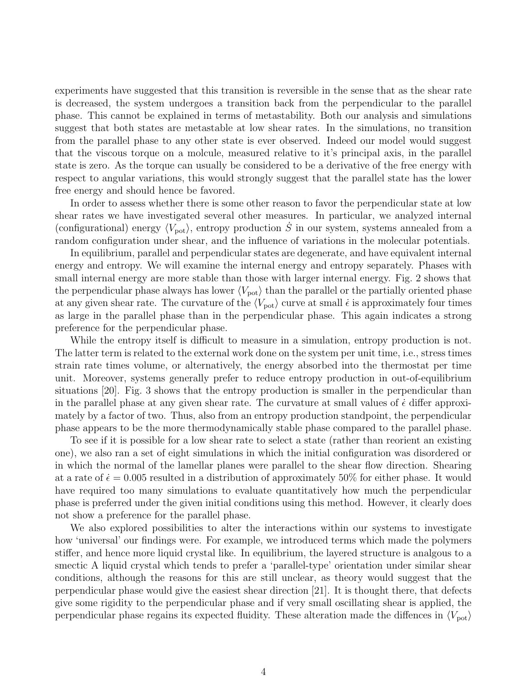experiments have suggested that this transition is reversible in the sense that as the shear rate is decreased, the system undergoes a transition back from the perpendicular to the parallel phase. This cannot be explained in terms of metastability. Both our analysis and simulations suggest that both states are metastable at low shear rates. In the simulations, no transition from the parallel phase to any other state is ever observed. Indeed our model would suggest that the viscous torque on a molcule, measured relative to it's principal axis, in the parallel state is zero. As the torque can usually be considered to be a derivative of the free energy with respect to angular variations, this would strongly suggest that the parallel state has the lower free energy and should hence be favored.

In order to assess whether there is some other reason to favor the perpendicular state at low shear rates we have investigated several other measures. In particular, we analyzed internal (configurational) energy  $\langle V_{\text{pot}} \rangle$ , entropy production  $\dot{S}$  in our system, systems annealed from a random configuration under shear, and the influence of variations in the molecular potentials.

In equilibrium, parallel and perpendicular states are degenerate, and have equivalent internal energy and entropy. We will examine the internal energy and entropy separately. Phases with small internal energy are more stable than those with larger internal energy. Fig. 2 shows that the perpendicular phase always has lower  $\langle V_{\text{pot}} \rangle$  than the parallel or the partially oriented phase at any given shear rate. The curvature of the  $\langle V_{\text{pot}} \rangle$  curve at small  $\dot{\epsilon}$  is approximately four times as large in the parallel phase than in the perpendicular phase. This again indicates a strong preference for the perpendicular phase.

While the entropy itself is difficult to measure in a simulation, entropy production is not. The latter term is related to the external work done on the system per unit time, i.e., stress times strain rate times volume, or alternatively, the energy absorbed into the thermostat per time unit. Moreover, systems generally prefer to reduce entropy production in out-of-equilibrium situations [20]. Fig. 3 shows that the entropy production is smaller in the perpendicular than in the parallel phase at any given shear rate. The curvature at small values of  $\epsilon$  differ approximately by a factor of two. Thus, also from an entropy production standpoint, the perpendicular phase appears to be the more thermodynamically stable phase compared to the parallel phase.

To see if it is possible for a low shear rate to select a state (rather than reorient an existing one), we also ran a set of eight simulations in which the initial configuration was disordered or in which the normal of the lamellar planes were parallel to the shear flow direction. Shearing at a rate of  $\dot{\epsilon} = 0.005$  resulted in a distribution of approximately 50% for either phase. It would have required too many simulations to evaluate quantitatively how much the perpendicular phase is preferred under the given initial conditions using this method. However, it clearly does not show a preference for the parallel phase.

We also explored possibilities to alter the interactions within our systems to investigate how 'universal' our findings were. For example, we introduced terms which made the polymers stiffer, and hence more liquid crystal like. In equilibrium, the layered structure is analgous to a smectic A liquid crystal which tends to prefer a 'parallel-type' orientation under similar shear conditions, although the reasons for this are still unclear, as theory would suggest that the perpendicular phase would give the easiest shear direction [21]. It is thought there, that defects give some rigidity to the perpendicular phase and if very small oscillating shear is applied, the perpendicular phase regains its expected fluidity. These alteration made the diffences in  $\langle V_{\text{pot}} \rangle$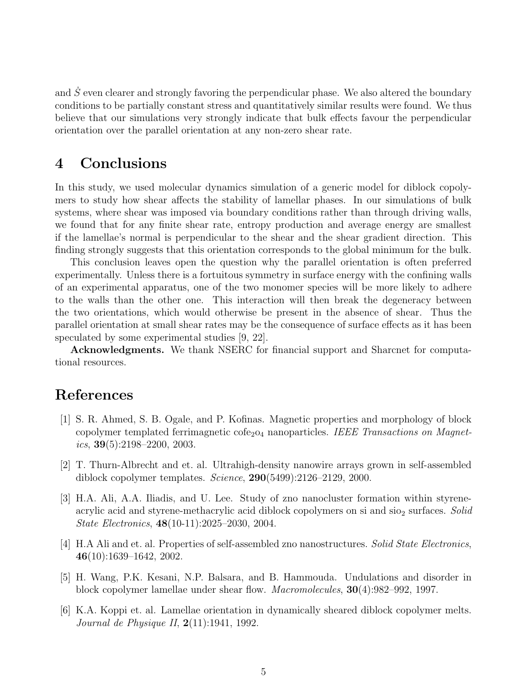and S even clearer and strongly favoring the perpendicular phase. We also altered the boundary conditions to be partially constant stress and quantitatively similar results were found. We thus believe that our simulations very strongly indicate that bulk effects favour the perpendicular orientation over the parallel orientation at any non-zero shear rate.

# 4 Conclusions

In this study, we used molecular dynamics simulation of a generic model for diblock copolymers to study how shear affects the stability of lamellar phases. In our simulations of bulk systems, where shear was imposed via boundary conditions rather than through driving walls, we found that for any finite shear rate, entropy production and average energy are smallest if the lamellae's normal is perpendicular to the shear and the shear gradient direction. This finding strongly suggests that this orientation corresponds to the global minimum for the bulk.

This conclusion leaves open the question why the parallel orientation is often preferred experimentally. Unless there is a fortuitous symmetry in surface energy with the confining walls of an experimental apparatus, one of the two monomer species will be more likely to adhere to the walls than the other one. This interaction will then break the degeneracy between the two orientations, which would otherwise be present in the absence of shear. Thus the parallel orientation at small shear rates may be the consequence of surface effects as it has been speculated by some experimental studies [9, 22].

Acknowledgments. We thank NSERC for financial support and Sharcnet for computational resources.

# References

- [1] S. R. Ahmed, S. B. Ogale, and P. Kofinas. Magnetic properties and morphology of block copolymer templated ferrimagnetic cofe<sub>2</sub>o<sub>4</sub> nanoparticles. IEEE Transactions on Magnetics,  $39(5):2198-2200$ ,  $2003$ .
- [2] T. Thurn-Albrecht and et. al. Ultrahigh-density nanowire arrays grown in self-assembled diblock copolymer templates. Science, 290(5499):2126–2129, 2000.
- [3] H.A. Ali, A.A. Iliadis, and U. Lee. Study of zno nanocluster formation within styreneacrylic acid and styrene-methacrylic acid diblock copolymers on si and  $sio<sub>2</sub>$  surfaces. Solid State Electronics, 48(10-11):2025–2030, 2004.
- [4] H.A Ali and et. al. Properties of self-assembled zno nanostructures. Solid State Electronics, 46(10):1639–1642, 2002.
- [5] H. Wang, P.K. Kesani, N.P. Balsara, and B. Hammouda. Undulations and disorder in block copolymer lamellae under shear flow. Macromolecules, 30(4):982–992, 1997.
- [6] K.A. Koppi et. al. Lamellae orientation in dynamically sheared diblock copolymer melts. Journal de Physique II, 2(11):1941, 1992.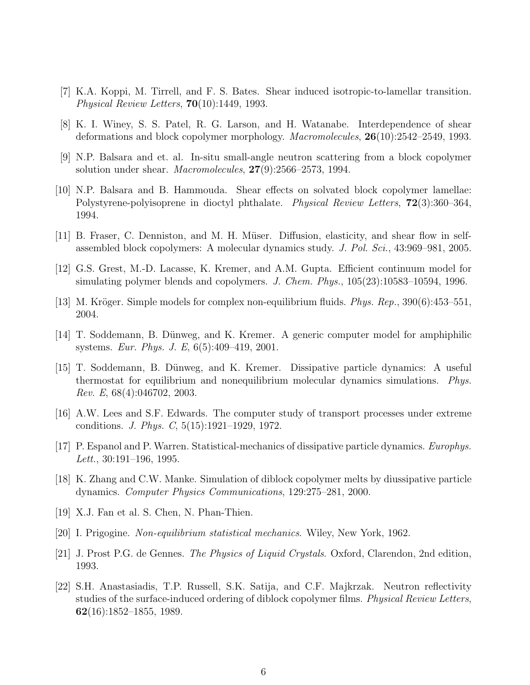- [7] K.A. Koppi, M. Tirrell, and F. S. Bates. Shear induced isotropic-to-lamellar transition. Physical Review Letters,  $70(10):1449$ , 1993.
- [8] K. I. Winey, S. S. Patel, R. G. Larson, and H. Watanabe. Interdependence of shear deformations and block copolymer morphology. Macromolecules, 26(10):2542–2549, 1993.
- [9] N.P. Balsara and et. al. In-situ small-angle neutron scattering from a block copolymer solution under shear. *Macromolecules*,  $27(9)$ :2566–2573, 1994.
- [10] N.P. Balsara and B. Hammouda. Shear effects on solvated block copolymer lamellae: Polystyrene-polyisoprene in dioctyl phthalate. Physical Review Letters, 72(3):360–364, 1994.
- [11] B. Fraser, C. Denniston, and M. H. Müser. Diffusion, elasticity, and shear flow in selfassembled block copolymers: A molecular dynamics study. J. Pol. Sci., 43:969–981, 2005.
- [12] G.S. Grest, M.-D. Lacasse, K. Kremer, and A.M. Gupta. Efficient continuum model for simulating polymer blends and copolymers. J. Chem. Phys., 105(23):10583–10594, 1996.
- [13] M. Kröger. Simple models for complex non-equilibrium fluids. *Phys. Rep.*, 390(6):453–551, 2004.
- [14] T. Soddemann, B. Dünweg, and K. Kremer. A generic computer model for amphiphilic systems. Eur. Phys. J. E, 6(5):409–419, 2001.
- [15] T. Soddemann, B. Dünweg, and K. Kremer. Dissipative particle dynamics: A useful thermostat for equilibrium and nonequilibrium molecular dynamics simulations. Phys. Rev. E, 68(4):046702, 2003.
- [16] A.W. Lees and S.F. Edwards. The computer study of transport processes under extreme conditions. J. Phys. C, 5(15):1921–1929, 1972.
- [17] P. Espanol and P. Warren. Statistical-mechanics of dissipative particle dynamics. Europhys. Lett.,  $30:191-196$ , 1995.
- [18] K. Zhang and C.W. Manke. Simulation of diblock copolymer melts by diussipative particle dynamics. Computer Physics Communications, 129:275–281, 2000.
- [19] X.J. Fan et al. S. Chen, N. Phan-Thien.
- [20] I. Prigogine. Non-equilibrium statistical mechanics. Wiley, New York, 1962.
- [21] J. Prost P.G. de Gennes. The Physics of Liquid Crystals. Oxford, Clarendon, 2nd edition, 1993.
- [22] S.H. Anastasiadis, T.P. Russell, S.K. Satija, and C.F. Majkrzak. Neutron reflectivity studies of the surface-induced ordering of diblock copolymer films. Physical Review Letters,  $62(16):1852-1855, 1989.$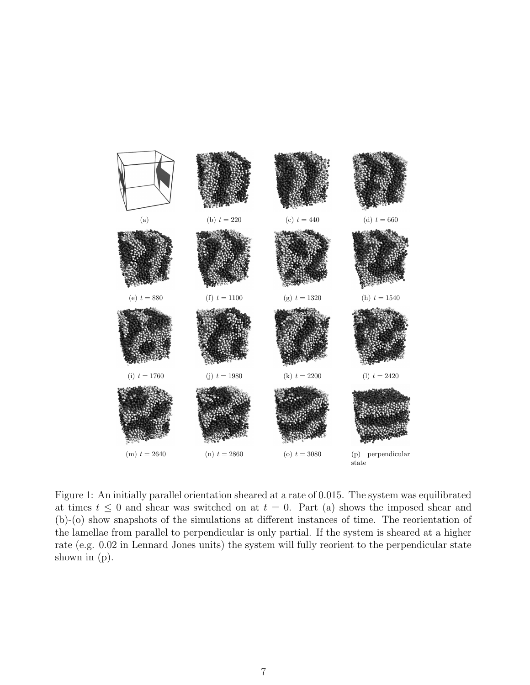

Figure 1: An initially parallel orientation sheared at a rate of 0.015. The system was equilibrated at times  $t \leq 0$  and shear was switched on at  $t = 0$ . Part (a) shows the imposed shear and (b)-(o) show snapshots of the simulations at different instances of time. The reorientation of the lamellae from parallel to perpendicular is only partial. If the system is sheared at a higher rate (e.g. 0.02 in Lennard Jones units) the system will fully reorient to the perpendicular state shown in (p).